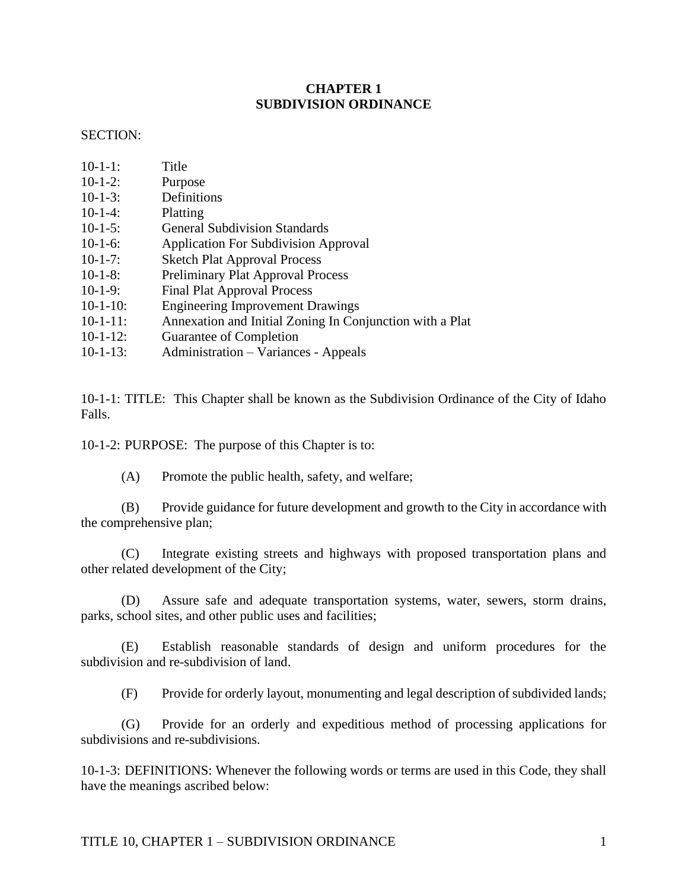### **CHAPTER 1 SUBDIVISION ORDINANCE**

### SECTION:

- 10-1-1: Title
- 10-1-2: Purpose
- 10-1-3: Definitions
- 10-1-4: Platting
- 10-1-5: General Subdivision Standards
- 10-1-6: Application For Subdivision Approval
- 10-1-7: Sketch Plat Approval Process
- 10-1-8: Preliminary Plat Approval Process
- 10-1-9: Final Plat Approval Process
- 10-1-10: Engineering Improvement Drawings
- 10-1-11: Annexation and Initial Zoning In Conjunction with a Plat
- 10-1-12: Guarantee of Completion
- 10-1-13: Administration Variances Appeals

10-1-1: TITLE: This Chapter shall be known as the Subdivision Ordinance of the City of Idaho Falls.

10-1-2: PURPOSE: The purpose of this Chapter is to:

(A) Promote the public health, safety, and welfare;

(B) Provide guidance for future development and growth to the City in accordance with the comprehensive plan;

(C) Integrate existing streets and highways with proposed transportation plans and other related development of the City;

(D) Assure safe and adequate transportation systems, water, sewers, storm drains, parks, school sites, and other public uses and facilities;

(E) Establish reasonable standards of design and uniform procedures for the subdivision and re-subdivision of land.

(F) Provide for orderly layout, monumenting and legal description of subdivided lands;

(G) Provide for an orderly and expeditious method of processing applications for subdivisions and re-subdivisions.

10-1-3: DEFINITIONS: Whenever the following words or terms are used in this Code, they shall have the meanings ascribed below: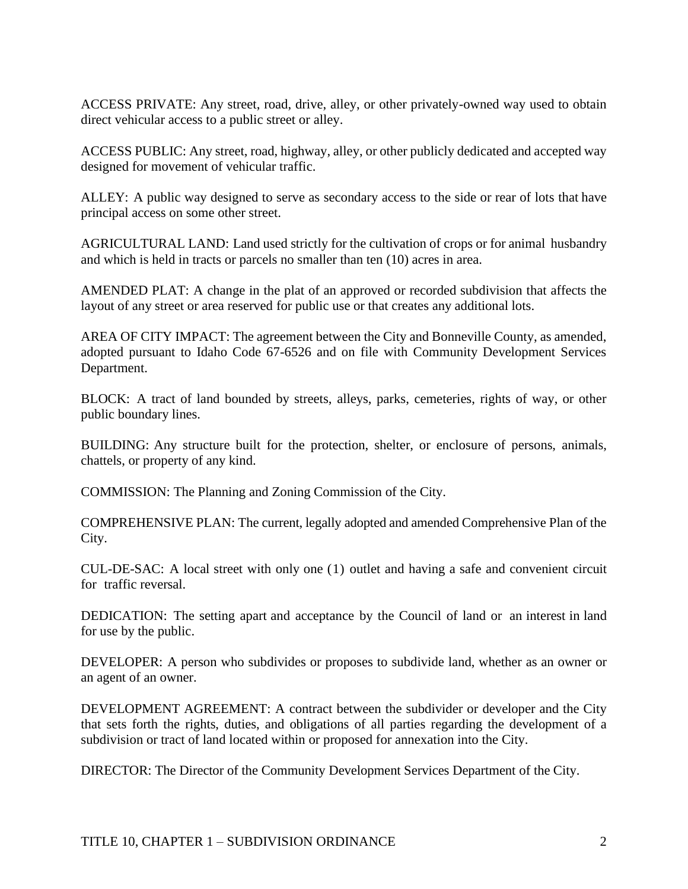ACCESS PRIVATE: Any street, road, drive, alley, or other privately-owned way used to obtain direct vehicular access to a public street or alley.

ACCESS PUBLIC: Any street, road, highway, alley, or other publicly dedicated and accepted way designed for movement of vehicular traffic.

ALLEY: A public way designed to serve as secondary access to the side or rear of lots that have principal access on some other street.

AGRICULTURAL LAND: Land used strictly for the cultivation of crops or for animal husbandry and which is held in tracts or parcels no smaller than ten (10) acres in area.

AMENDED PLAT: A change in the plat of an approved or recorded subdivision that affects the layout of any street or area reserved for public use or that creates any additional lots.

AREA OF CITY IMPACT: The agreement between the City and Bonneville County, as amended, adopted pursuant to Idaho Code 67-6526 and on file with Community Development Services Department.

BLOCK: A tract of land bounded by streets, alleys, parks, cemeteries, rights of way, or other public boundary lines.

BUILDING: Any structure built for the protection, shelter, or enclosure of persons, animals, chattels, or property of any kind.

COMMISSION: The Planning and Zoning Commission of the City.

COMPREHENSIVE PLAN: The current, legally adopted and amended Comprehensive Plan of the City.

CUL-DE-SAC: A local street with only one (1) outlet and having a safe and convenient circuit for traffic reversal.

DEDICATION: The setting apart and acceptance by the Council of land or an interest in land for use by the public.

DEVELOPER: A person who subdivides or proposes to subdivide land, whether as an owner or an agent of an owner.

DEVELOPMENT AGREEMENT: A contract between the subdivider or developer and the City that sets forth the rights, duties, and obligations of all parties regarding the development of a subdivision or tract of land located within or proposed for annexation into the City.

DIRECTOR: The Director of the Community Development Services Department of the City.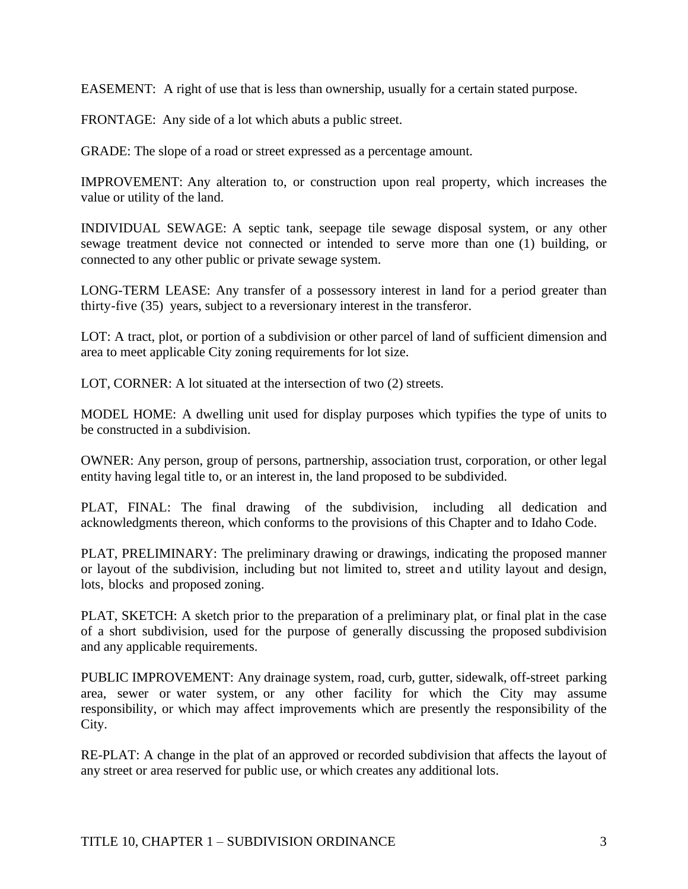EASEMENT: A right of use that is less than ownership, usually for a certain stated purpose.

FRONTAGE: Any side of a lot which abuts a public street.

GRADE: The slope of a road or street expressed as a percentage amount.

IMPROVEMENT: Any alteration to, or construction upon real property, which increases the value or utility of the land.

INDIVIDUAL SEWAGE: A septic tank, seepage tile sewage disposal system, or any other sewage treatment device not connected or intended to serve more than one (1) building, or connected to any other public or private sewage system.

LONG-TERM LEASE: Any transfer of a possessory interest in land for a period greater than thirty-five (35) years, subject to a reversionary interest in the transferor.

LOT: A tract, plot, or portion of a subdivision or other parcel of land of sufficient dimension and area to meet applicable City zoning requirements for lot size.

LOT, CORNER: A lot situated at the intersection of two (2) streets.

MODEL HOME: A dwelling unit used for display purposes which typifies the type of units to be constructed in a subdivision.

OWNER: Any person, group of persons, partnership, association trust, corporation, or other legal entity having legal title to, or an interest in, the land proposed to be subdivided.

PLAT, FINAL: The final drawing of the subdivision, including all dedication and acknowledgments thereon, which conforms to the provisions of this Chapter and to Idaho Code.

PLAT, PRELIMINARY: The preliminary drawing or drawings, indicating the proposed manner or layout of the subdivision, including but not limited to, street and utility layout and design, lots, blocks and proposed zoning.

PLAT, SKETCH: A sketch prior to the preparation of a preliminary plat, or final plat in the case of a short subdivision, used for the purpose of generally discussing the proposed subdivision and any applicable requirements.

PUBLIC IMPROVEMENT: Any drainage system, road, curb, gutter, sidewalk, off-street parking area, sewer or water system, or any other facility for which the City may assume responsibility, or which may affect improvements which are presently the responsibility of the City.

RE-PLAT: A change in the plat of an approved or recorded subdivision that affects the layout of any street or area reserved for public use, or which creates any additional lots.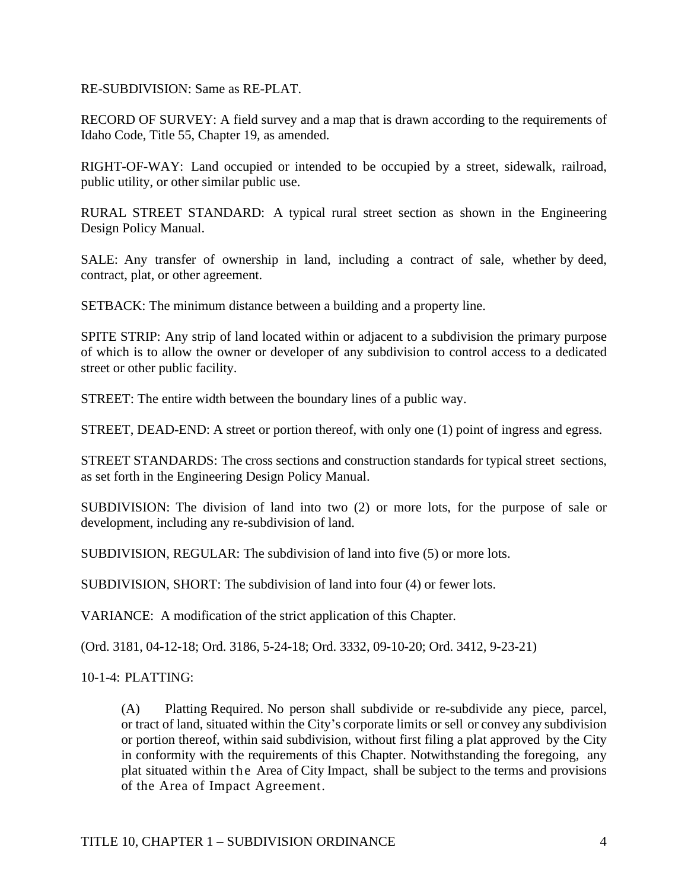RE-SUBDIVISION: Same as RE-PLAT.

RECORD OF SURVEY: A field survey and a map that is drawn according to the requirements of Idaho Code, Title 55, Chapter 19, as amended.

RIGHT-OF-WAY: Land occupied or intended to be occupied by a street, sidewalk, railroad, public utility, or other similar public use.

RURAL STREET STANDARD: A typical rural street section as shown in the Engineering Design Policy Manual.

SALE: Any transfer of ownership in land, including a contract of sale, whether by deed, contract, plat, or other agreement.

SETBACK: The minimum distance between a building and a property line.

SPITE STRIP: Any strip of land located within or adjacent to a subdivision the primary purpose of which is to allow the owner or developer of any subdivision to control access to a dedicated street or other public facility.

STREET: The entire width between the boundary lines of a public way.

STREET, DEAD-END: A street or portion thereof, with only one (1) point of ingress and egress.

STREET STANDARDS: The cross sections and construction standards for typical street sections, as set forth in the Engineering Design Policy Manual.

SUBDIVISION: The division of land into two (2) or more lots, for the purpose of sale or development, including any re-subdivision of land.

SUBDIVISION, REGULAR: The subdivision of land into five (5) or more lots.

SUBDIVISION, SHORT: The subdivision of land into four (4) or fewer lots.

VARIANCE: A modification of the strict application of this Chapter.

(Ord. 3181, 04-12-18; Ord. 3186, 5-24-18; Ord. 3332, 09-10-20; Ord. 3412, 9-23-21)

10-1-4: PLATTING:

(A) Platting Required. No person shall subdivide or re-subdivide any piece, parcel, or tract of land, situated within the City's corporate limits or sell or convey any subdivision or portion thereof, within said subdivision, without first filing a plat approved by the City in conformity with the requirements of this Chapter. Notwithstanding the foregoing, any plat situated within the Area of City Impact, shall be subject to the terms and provisions of the Area of Impact Agreement.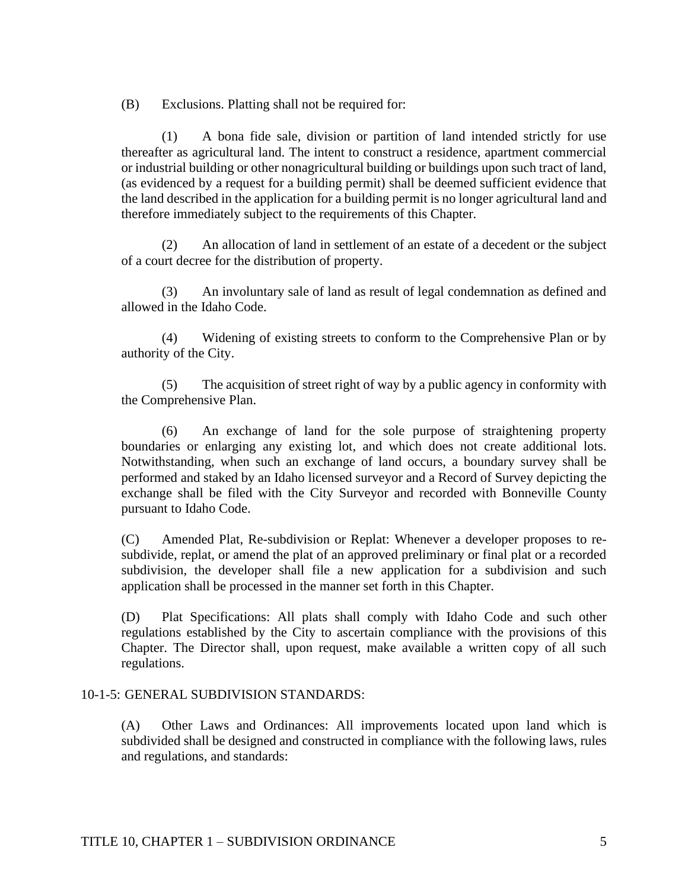(B) Exclusions. Platting shall not be required for:

(1) A bona fide sale, division or partition of land intended strictly for use thereafter as agricultural land. The intent to construct a residence, apartment commercial or industrial building or other nonagricultural building or buildings upon such tract of land, (as evidenced by a request for a building permit) shall be deemed sufficient evidence that the land described in the application for a building permit is no longer agricultural land and therefore immediately subject to the requirements of this Chapter.

(2) An allocation of land in settlement of an estate of a decedent or the subject of a court decree for the distribution of property.

(3) An involuntary sale of land as result of legal condemnation as defined and allowed in the Idaho Code.

(4) Widening of existing streets to conform to the Comprehensive Plan or by authority of the City.

(5) The acquisition of street right of way by a public agency in conformity with the Comprehensive Plan.

(6) An exchange of land for the sole purpose of straightening property boundaries or enlarging any existing lot, and which does not create additional lots. Notwithstanding, when such an exchange of land occurs, a boundary survey shall be performed and staked by an Idaho licensed surveyor and a Record of Survey depicting the exchange shall be filed with the City Surveyor and recorded with Bonneville County pursuant to Idaho Code.

(C) Amended Plat, Re-subdivision or Replat: Whenever a developer proposes to resubdivide, replat, or amend the plat of an approved preliminary or final plat or a recorded subdivision, the developer shall file a new application for a subdivision and such application shall be processed in the manner set forth in this Chapter.

(D) Plat Specifications: All plats shall comply with Idaho Code and such other regulations established by the City to ascertain compliance with the provisions of this Chapter. The Director shall, upon request, make available a written copy of all such regulations.

### 10-1-5: GENERAL SUBDIVISION STANDARDS:

(A) Other Laws and Ordinances: All improvements located upon land which is subdivided shall be designed and constructed in compliance with the following laws, rules and regulations, and standards: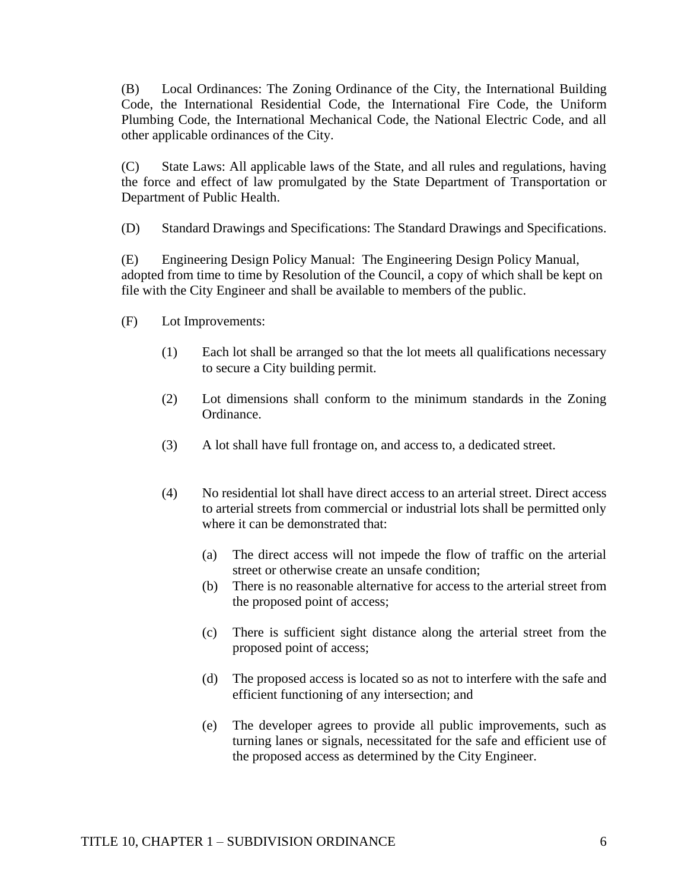(B) Local Ordinances: The Zoning Ordinance of the City, the International Building Code, the International Residential Code, the International Fire Code, the Uniform Plumbing Code, the International Mechanical Code, the National Electric Code, and all other applicable ordinances of the City.

(C) State Laws: All applicable laws of the State, and all rules and regulations, having the force and effect of law promulgated by the State Department of Transportation or Department of Public Health.

(D) Standard Drawings and Specifications: The Standard Drawings and Specifications.

(E) Engineering Design Policy Manual: The Engineering Design Policy Manual, adopted from time to time by Resolution of the Council, a copy of which shall be kept on file with the City Engineer and shall be available to members of the public.

- (F) Lot Improvements:
	- (1) Each lot shall be arranged so that the lot meets all qualifications necessary to secure a City building permit.
	- (2) Lot dimensions shall conform to the minimum standards in the Zoning Ordinance.
	- (3) A lot shall have full frontage on, and access to, a dedicated street.
	- (4) No residential lot shall have direct access to an arterial street. Direct access to arterial streets from commercial or industrial lots shall be permitted only where it can be demonstrated that:
		- (a) The direct access will not impede the flow of traffic on the arterial street or otherwise create an unsafe condition;
		- (b) There is no reasonable alternative for access to the arterial street from the proposed point of access;
		- (c) There is sufficient sight distance along the arterial street from the proposed point of access;
		- (d) The proposed access is located so as not to interfere with the safe and efficient functioning of any intersection; and
		- (e) The developer agrees to provide all public improvements, such as turning lanes or signals, necessitated for the safe and efficient use of the proposed access as determined by the City Engineer.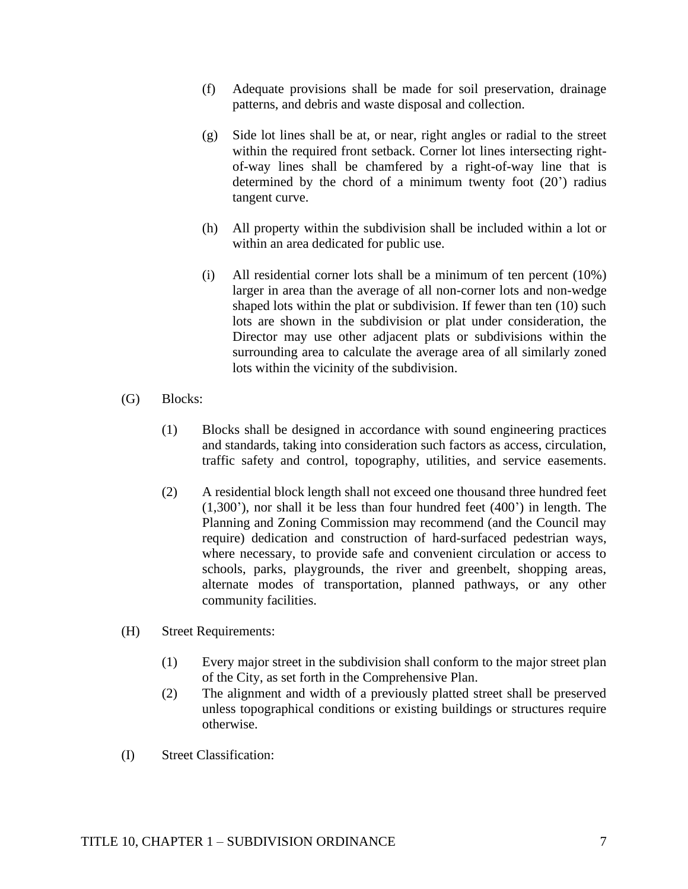- (f) Adequate provisions shall be made for soil preservation, drainage patterns, and debris and waste disposal and collection.
- (g) Side lot lines shall be at, or near, right angles or radial to the street within the required front setback. Corner lot lines intersecting rightof-way lines shall be chamfered by a right-of-way line that is determined by the chord of a minimum twenty foot (20') radius tangent curve.
- (h) All property within the subdivision shall be included within a lot or within an area dedicated for public use.
- (i) All residential corner lots shall be a minimum of ten percent (10%) larger in area than the average of all non-corner lots and non-wedge shaped lots within the plat or subdivision. If fewer than ten (10) such lots are shown in the subdivision or plat under consideration, the Director may use other adjacent plats or subdivisions within the surrounding area to calculate the average area of all similarly zoned lots within the vicinity of the subdivision.
- (G) Blocks:
	- (1) Blocks shall be designed in accordance with sound engineering practices and standards, taking into consideration such factors as access, circulation, traffic safety and control, topography, utilities, and service easements.
	- (2) A residential block length shall not exceed one thousand three hundred feet (1,300'), nor shall it be less than four hundred feet (400') in length. The Planning and Zoning Commission may recommend (and the Council may require) dedication and construction of hard-surfaced pedestrian ways, where necessary, to provide safe and convenient circulation or access to schools, parks, playgrounds, the river and greenbelt, shopping areas, alternate modes of transportation, planned pathways, or any other community facilities.
- (H) Street Requirements:
	- (1) Every major street in the subdivision shall conform to the major street plan of the City, as set forth in the Comprehensive Plan.
	- (2) The alignment and width of a previously platted street shall be preserved unless topographical conditions or existing buildings or structures require otherwise.
- (I) Street Classification: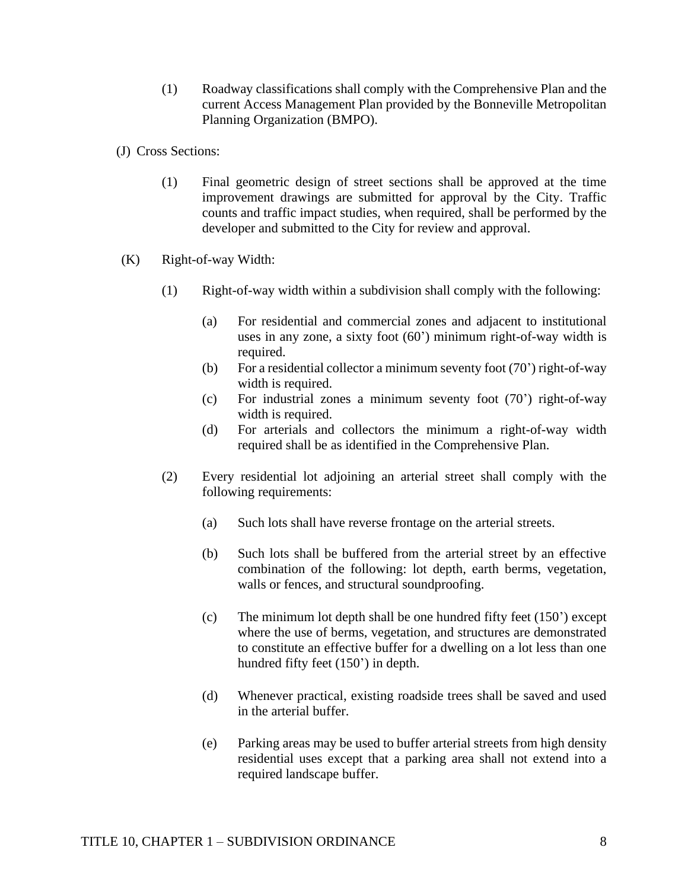- (1) Roadway classifications shall comply with the Comprehensive Plan and the current Access Management Plan provided by the Bonneville Metropolitan Planning Organization (BMPO).
- (J) Cross Sections:
	- (1) Final geometric design of street sections shall be approved at the time improvement drawings are submitted for approval by the City. Traffic counts and traffic impact studies, when required, shall be performed by the developer and submitted to the City for review and approval.
- (K) Right-of-way Width:
	- (1) Right-of-way width within a subdivision shall comply with the following:
		- (a) For residential and commercial zones and adjacent to institutional uses in any zone, a sixty foot (60') minimum right-of-way width is required.
		- (b) For a residential collector a minimum seventy foot  $(70')$  right-of-way width is required.
		- (c) For industrial zones a minimum seventy foot (70') right-of-way width is required.
		- (d) For arterials and collectors the minimum a right-of-way width required shall be as identified in the Comprehensive Plan.
	- (2) Every residential lot adjoining an arterial street shall comply with the following requirements:
		- (a) Such lots shall have reverse frontage on the arterial streets.
		- (b) Such lots shall be buffered from the arterial street by an effective combination of the following: lot depth, earth berms, vegetation, walls or fences, and structural soundproofing.
		- (c) The minimum lot depth shall be one hundred fifty feet (150') except where the use of berms, vegetation, and structures are demonstrated to constitute an effective buffer for a dwelling on a lot less than one hundred fifty feet (150') in depth.
		- (d) Whenever practical, existing roadside trees shall be saved and used in the arterial buffer.
		- (e) Parking areas may be used to buffer arterial streets from high density residential uses except that a parking area shall not extend into a required landscape buffer.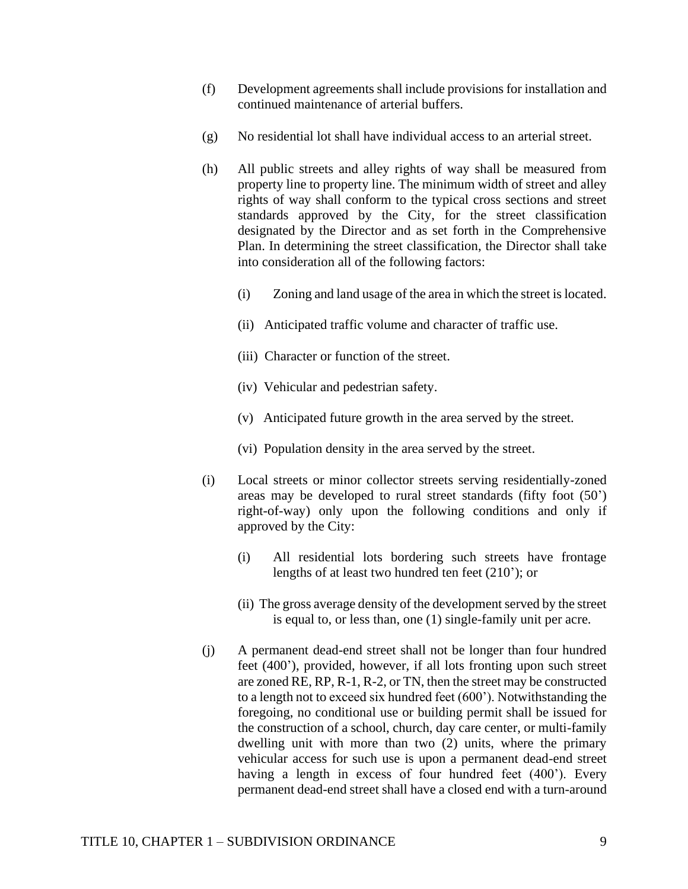- (f) Development agreements shall include provisions for installation and continued maintenance of arterial buffers.
- (g) No residential lot shall have individual access to an arterial street.
- (h) All public streets and alley rights of way shall be measured from property line to property line. The minimum width of street and alley rights of way shall conform to the typical cross sections and street standards approved by the City, for the street classification designated by the Director and as set forth in the Comprehensive Plan. In determining the street classification, the Director shall take into consideration all of the following factors:
	- (i) Zoning and land usage of the area in which the street is located.
	- (ii) Anticipated traffic volume and character of traffic use.
	- (iii) Character or function of the street.
	- (iv) Vehicular and pedestrian safety.
	- (v) Anticipated future growth in the area served by the street.
	- (vi) Population density in the area served by the street.
- (i) Local streets or minor collector streets serving residentially-zoned areas may be developed to rural street standards (fifty foot (50') right-of-way) only upon the following conditions and only if approved by the City:
	- (i) All residential lots bordering such streets have frontage lengths of at least two hundred ten feet (210'); or
	- (ii) The gross average density of the development served by the street is equal to, or less than, one (1) single-family unit per acre.
- (j) A permanent dead-end street shall not be longer than four hundred feet (400'), provided, however, if all lots fronting upon such street are zoned RE, RP, R-1, R-2, or TN, then the street may be constructed to a length not to exceed six hundred feet (600'). Notwithstanding the foregoing, no conditional use or building permit shall be issued for the construction of a school, church, day care center, or multi-family dwelling unit with more than two (2) units, where the primary vehicular access for such use is upon a permanent dead-end street having a length in excess of four hundred feet (400'). Every permanent dead-end street shall have a closed end with a turn-around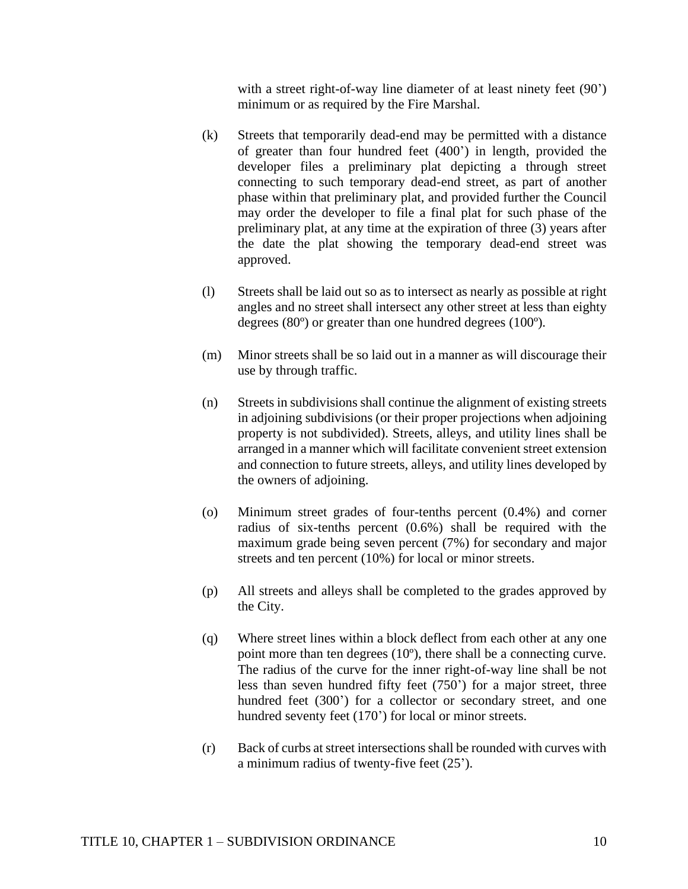with a street right-of-way line diameter of at least ninety feet (90') minimum or as required by the Fire Marshal.

- (k) Streets that temporarily dead-end may be permitted with a distance of greater than four hundred feet (400') in length, provided the developer files a preliminary plat depicting a through street connecting to such temporary dead-end street, as part of another phase within that preliminary plat, and provided further the Council may order the developer to file a final plat for such phase of the preliminary plat, at any time at the expiration of three (3) years after the date the plat showing the temporary dead-end street was approved.
- (l) Streets shall be laid out so as to intersect as nearly as possible at right angles and no street shall intersect any other street at less than eighty degrees (80º) or greater than one hundred degrees (100º).
- (m) Minor streets shall be so laid out in a manner as will discourage their use by through traffic.
- (n) Streets in subdivisions shall continue the alignment of existing streets in adjoining subdivisions (or their proper projections when adjoining property is not subdivided). Streets, alleys, and utility lines shall be arranged in a manner which will facilitate convenient street extension and connection to future streets, alleys, and utility lines developed by the owners of adjoining.
- (o) Minimum street grades of four-tenths percent (0.4%) and corner radius of six-tenths percent (0.6%) shall be required with the maximum grade being seven percent (7%) for secondary and major streets and ten percent (10%) for local or minor streets.
- (p) All streets and alleys shall be completed to the grades approved by the City.
- (q) Where street lines within a block deflect from each other at any one point more than ten degrees (10º), there shall be a connecting curve. The radius of the curve for the inner right-of-way line shall be not less than seven hundred fifty feet (750') for a major street, three hundred feet (300') for a collector or secondary street, and one hundred seventy feet (170') for local or minor streets.
- (r) Back of curbs at street intersections shall be rounded with curves with a minimum radius of twenty-five feet (25').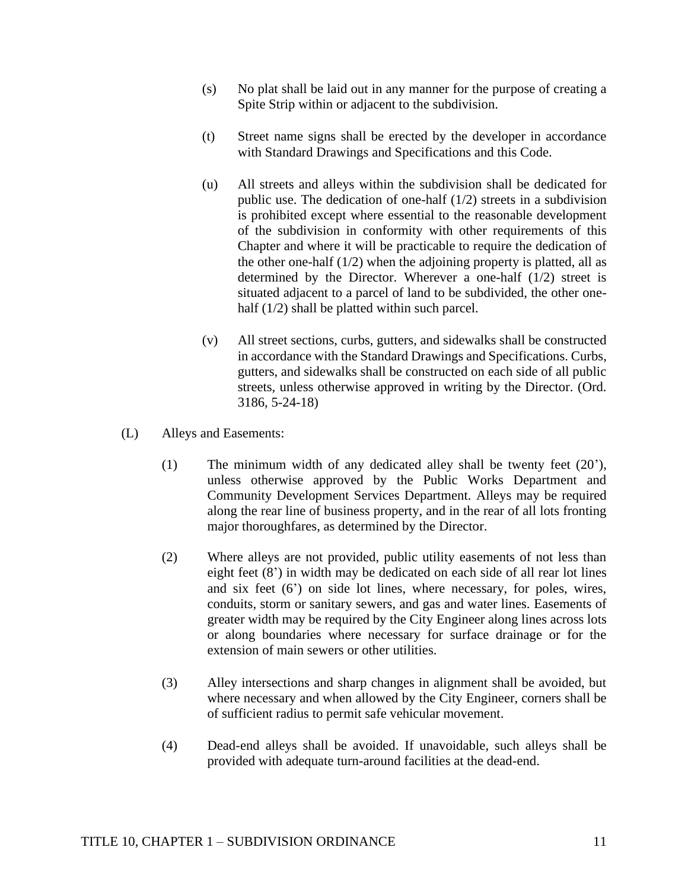- (s) No plat shall be laid out in any manner for the purpose of creating a Spite Strip within or adjacent to the subdivision.
- (t) Street name signs shall be erected by the developer in accordance with Standard Drawings and Specifications and this Code.
- (u) All streets and alleys within the subdivision shall be dedicated for public use. The dedication of one-half (1/2) streets in a subdivision is prohibited except where essential to the reasonable development of the subdivision in conformity with other requirements of this Chapter and where it will be practicable to require the dedication of the other one-half  $(1/2)$  when the adjoining property is platted, all as determined by the Director. Wherever a one-half (1/2) street is situated adjacent to a parcel of land to be subdivided, the other onehalf (1/2) shall be platted within such parcel.
- (v) All street sections, curbs, gutters, and sidewalks shall be constructed in accordance with the Standard Drawings and Specifications. Curbs, gutters, and sidewalks shall be constructed on each side of all public streets, unless otherwise approved in writing by the Director. (Ord. 3186, 5-24-18)
- (L) Alleys and Easements:
	- (1) The minimum width of any dedicated alley shall be twenty feet (20'), unless otherwise approved by the Public Works Department and Community Development Services Department. Alleys may be required along the rear line of business property, and in the rear of all lots fronting major thoroughfares, as determined by the Director.
	- (2) Where alleys are not provided, public utility easements of not less than eight feet (8') in width may be dedicated on each side of all rear lot lines and six feet (6') on side lot lines, where necessary, for poles, wires, conduits, storm or sanitary sewers, and gas and water lines. Easements of greater width may be required by the City Engineer along lines across lots or along boundaries where necessary for surface drainage or for the extension of main sewers or other utilities.
	- (3) Alley intersections and sharp changes in alignment shall be avoided, but where necessary and when allowed by the City Engineer, corners shall be of sufficient radius to permit safe vehicular movement.
	- (4) Dead-end alleys shall be avoided. If unavoidable, such alleys shall be provided with adequate turn-around facilities at the dead-end.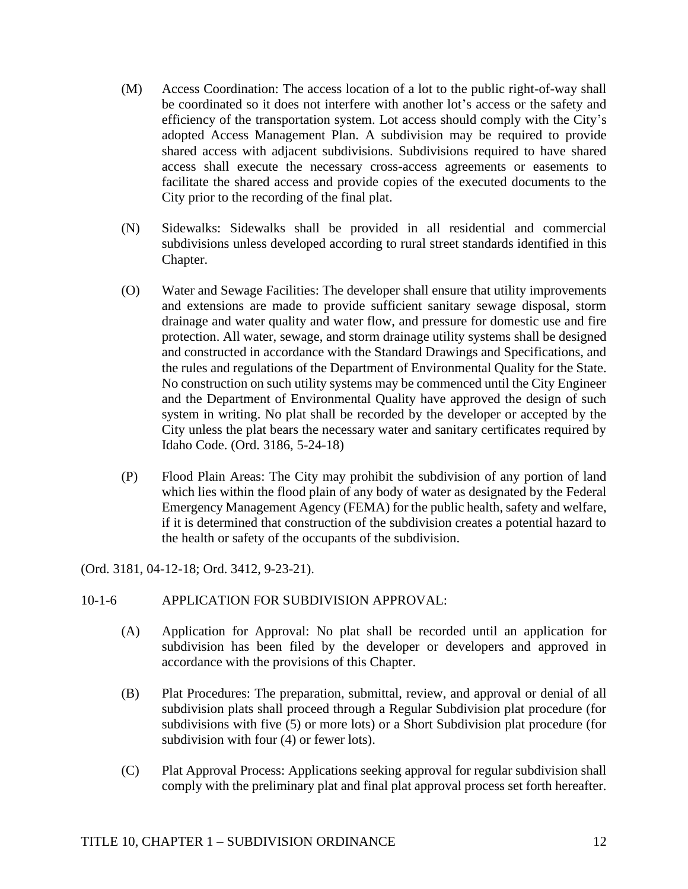- (M) Access Coordination: The access location of a lot to the public right-of-way shall be coordinated so it does not interfere with another lot's access or the safety and efficiency of the transportation system. Lot access should comply with the City's adopted Access Management Plan. A subdivision may be required to provide shared access with adjacent subdivisions. Subdivisions required to have shared access shall execute the necessary cross-access agreements or easements to facilitate the shared access and provide copies of the executed documents to the City prior to the recording of the final plat.
- (N) Sidewalks: Sidewalks shall be provided in all residential and commercial subdivisions unless developed according to rural street standards identified in this Chapter.
- (O) Water and Sewage Facilities: The developer shall ensure that utility improvements and extensions are made to provide sufficient sanitary sewage disposal, storm drainage and water quality and water flow, and pressure for domestic use and fire protection. All water, sewage, and storm drainage utility systems shall be designed and constructed in accordance with the Standard Drawings and Specifications, and the rules and regulations of the Department of Environmental Quality for the State. No construction on such utility systems may be commenced until the City Engineer and the Department of Environmental Quality have approved the design of such system in writing. No plat shall be recorded by the developer or accepted by the City unless the plat bears the necessary water and sanitary certificates required by Idaho Code. (Ord. 3186, 5-24-18)
- (P) Flood Plain Areas: The City may prohibit the subdivision of any portion of land which lies within the flood plain of any body of water as designated by the Federal Emergency Management Agency (FEMA) for the public health, safety and welfare, if it is determined that construction of the subdivision creates a potential hazard to the health or safety of the occupants of the subdivision.

(Ord. 3181, 04-12-18; Ord. 3412, 9-23-21).

### 10-1-6 APPLICATION FOR SUBDIVISION APPROVAL:

- (A) Application for Approval: No plat shall be recorded until an application for subdivision has been filed by the developer or developers and approved in accordance with the provisions of this Chapter.
- (B) Plat Procedures: The preparation, submittal, review, and approval or denial of all subdivision plats shall proceed through a Regular Subdivision plat procedure (for subdivisions with five (5) or more lots) or a Short Subdivision plat procedure (for subdivision with four (4) or fewer lots).
- (C) Plat Approval Process: Applications seeking approval for regular subdivision shall comply with the preliminary plat and final plat approval process set forth hereafter.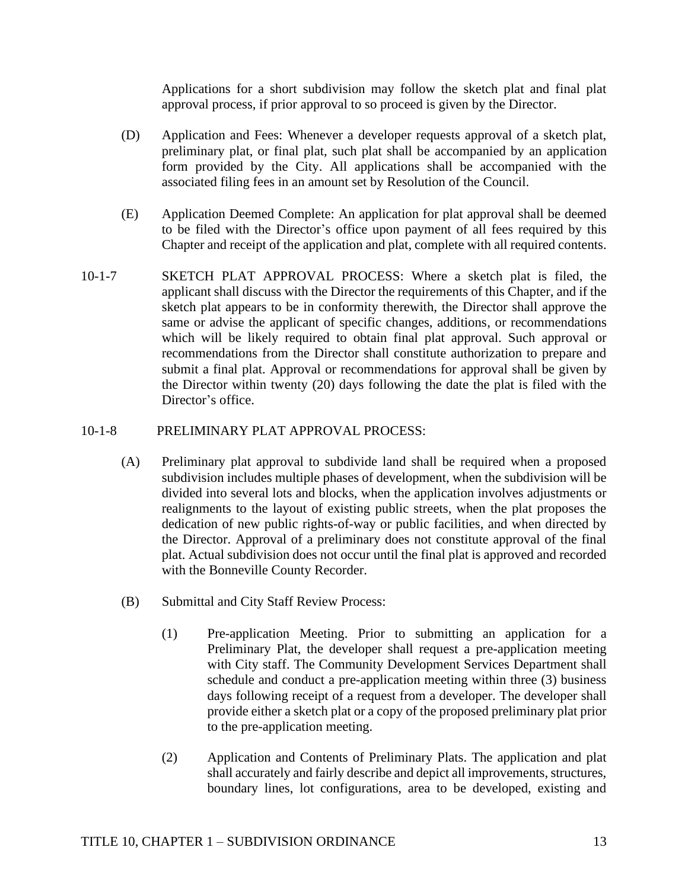Applications for a short subdivision may follow the sketch plat and final plat approval process, if prior approval to so proceed is given by the Director.

- (D) Application and Fees: Whenever a developer requests approval of a sketch plat, preliminary plat, or final plat, such plat shall be accompanied by an application form provided by the City. All applications shall be accompanied with the associated filing fees in an amount set by Resolution of the Council.
- (E) Application Deemed Complete: An application for plat approval shall be deemed to be filed with the Director's office upon payment of all fees required by this Chapter and receipt of the application and plat, complete with all required contents.
- 10-1-7 SKETCH PLAT APPROVAL PROCESS: Where a sketch plat is filed, the applicant shall discuss with the Director the requirements of this Chapter, and if the sketch plat appears to be in conformity therewith, the Director shall approve the same or advise the applicant of specific changes, additions, or recommendations which will be likely required to obtain final plat approval. Such approval or recommendations from the Director shall constitute authorization to prepare and submit a final plat. Approval or recommendations for approval shall be given by the Director within twenty (20) days following the date the plat is filed with the Director's office.

### 10-1-8 PRELIMINARY PLAT APPROVAL PROCESS:

- (A) Preliminary plat approval to subdivide land shall be required when a proposed subdivision includes multiple phases of development, when the subdivision will be divided into several lots and blocks, when the application involves adjustments or realignments to the layout of existing public streets, when the plat proposes the dedication of new public rights-of-way or public facilities, and when directed by the Director. Approval of a preliminary does not constitute approval of the final plat. Actual subdivision does not occur until the final plat is approved and recorded with the Bonneville County Recorder.
- (B) Submittal and City Staff Review Process:
	- (1) Pre-application Meeting. Prior to submitting an application for a Preliminary Plat, the developer shall request a pre-application meeting with City staff. The Community Development Services Department shall schedule and conduct a pre-application meeting within three (3) business days following receipt of a request from a developer. The developer shall provide either a sketch plat or a copy of the proposed preliminary plat prior to the pre-application meeting.
	- (2) Application and Contents of Preliminary Plats. The application and plat shall accurately and fairly describe and depict all improvements, structures, boundary lines, lot configurations, area to be developed, existing and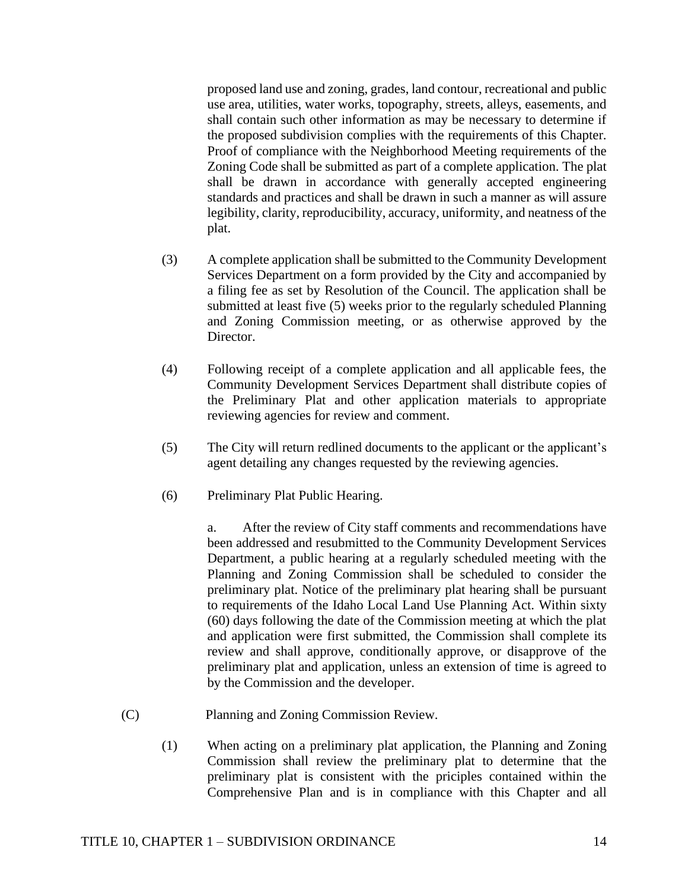proposed land use and zoning, grades, land contour, recreational and public use area, utilities, water works, topography, streets, alleys, easements, and shall contain such other information as may be necessary to determine if the proposed subdivision complies with the requirements of this Chapter. Proof of compliance with the Neighborhood Meeting requirements of the Zoning Code shall be submitted as part of a complete application. The plat shall be drawn in accordance with generally accepted engineering standards and practices and shall be drawn in such a manner as will assure legibility, clarity, reproducibility, accuracy, uniformity, and neatness of the plat.

- (3) A complete application shall be submitted to the Community Development Services Department on a form provided by the City and accompanied by a filing fee as set by Resolution of the Council. The application shall be submitted at least five (5) weeks prior to the regularly scheduled Planning and Zoning Commission meeting, or as otherwise approved by the Director.
- (4) Following receipt of a complete application and all applicable fees, the Community Development Services Department shall distribute copies of the Preliminary Plat and other application materials to appropriate reviewing agencies for review and comment.
- (5) The City will return redlined documents to the applicant or the applicant's agent detailing any changes requested by the reviewing agencies.
- (6) Preliminary Plat Public Hearing.

a. After the review of City staff comments and recommendations have been addressed and resubmitted to the Community Development Services Department, a public hearing at a regularly scheduled meeting with the Planning and Zoning Commission shall be scheduled to consider the preliminary plat. Notice of the preliminary plat hearing shall be pursuant to requirements of the Idaho Local Land Use Planning Act. Within sixty (60) days following the date of the Commission meeting at which the plat and application were first submitted, the Commission shall complete its review and shall approve, conditionally approve, or disapprove of the preliminary plat and application, unless an extension of time is agreed to by the Commission and the developer.

- (C) Planning and Zoning Commission Review.
	- (1) When acting on a preliminary plat application, the Planning and Zoning Commission shall review the preliminary plat to determine that the preliminary plat is consistent with the priciples contained within the Comprehensive Plan and is in compliance with this Chapter and all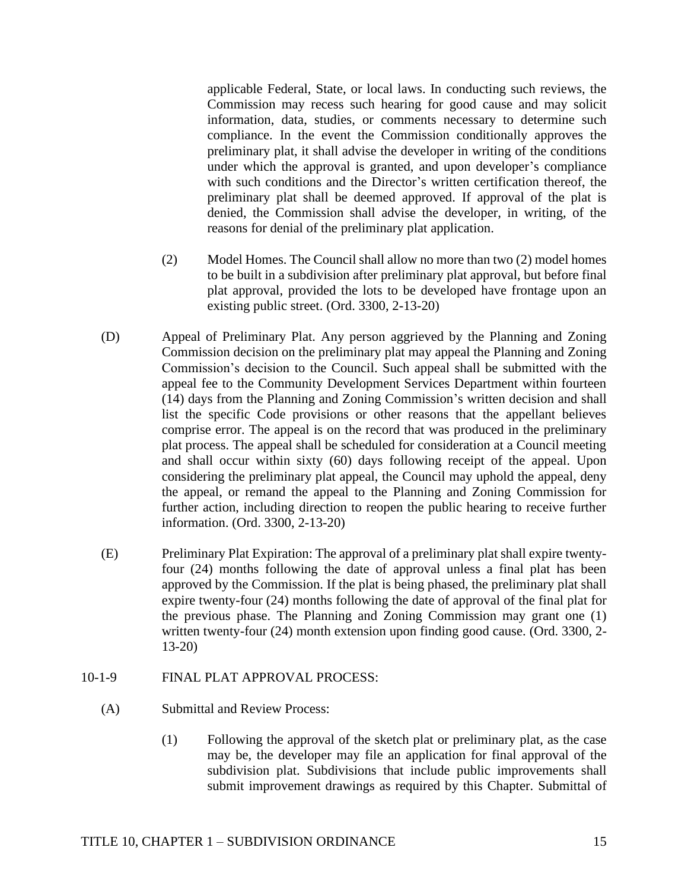applicable Federal, State, or local laws. In conducting such reviews, the Commission may recess such hearing for good cause and may solicit information, data, studies, or comments necessary to determine such compliance. In the event the Commission conditionally approves the preliminary plat, it shall advise the developer in writing of the conditions under which the approval is granted, and upon developer's compliance with such conditions and the Director's written certification thereof, the preliminary plat shall be deemed approved. If approval of the plat is denied, the Commission shall advise the developer, in writing, of the reasons for denial of the preliminary plat application.

- (2) Model Homes. The Council shall allow no more than two (2) model homes to be built in a subdivision after preliminary plat approval, but before final plat approval, provided the lots to be developed have frontage upon an existing public street. (Ord. 3300, 2-13-20)
- (D) Appeal of Preliminary Plat. Any person aggrieved by the Planning and Zoning Commission decision on the preliminary plat may appeal the Planning and Zoning Commission's decision to the Council. Such appeal shall be submitted with the appeal fee to the Community Development Services Department within fourteen (14) days from the Planning and Zoning Commission's written decision and shall list the specific Code provisions or other reasons that the appellant believes comprise error. The appeal is on the record that was produced in the preliminary plat process. The appeal shall be scheduled for consideration at a Council meeting and shall occur within sixty (60) days following receipt of the appeal. Upon considering the preliminary plat appeal, the Council may uphold the appeal, deny the appeal, or remand the appeal to the Planning and Zoning Commission for further action, including direction to reopen the public hearing to receive further information. (Ord. 3300, 2-13-20)
- (E) Preliminary Plat Expiration: The approval of a preliminary plat shall expire twentyfour (24) months following the date of approval unless a final plat has been approved by the Commission. If the plat is being phased, the preliminary plat shall expire twenty-four (24) months following the date of approval of the final plat for the previous phase. The Planning and Zoning Commission may grant one (1) written twenty-four (24) month extension upon finding good cause. (Ord. 3300, 2-13-20)
- 10-1-9 FINAL PLAT APPROVAL PROCESS:
	- (A) Submittal and Review Process:
		- (1) Following the approval of the sketch plat or preliminary plat, as the case may be, the developer may file an application for final approval of the subdivision plat. Subdivisions that include public improvements shall submit improvement drawings as required by this Chapter. Submittal of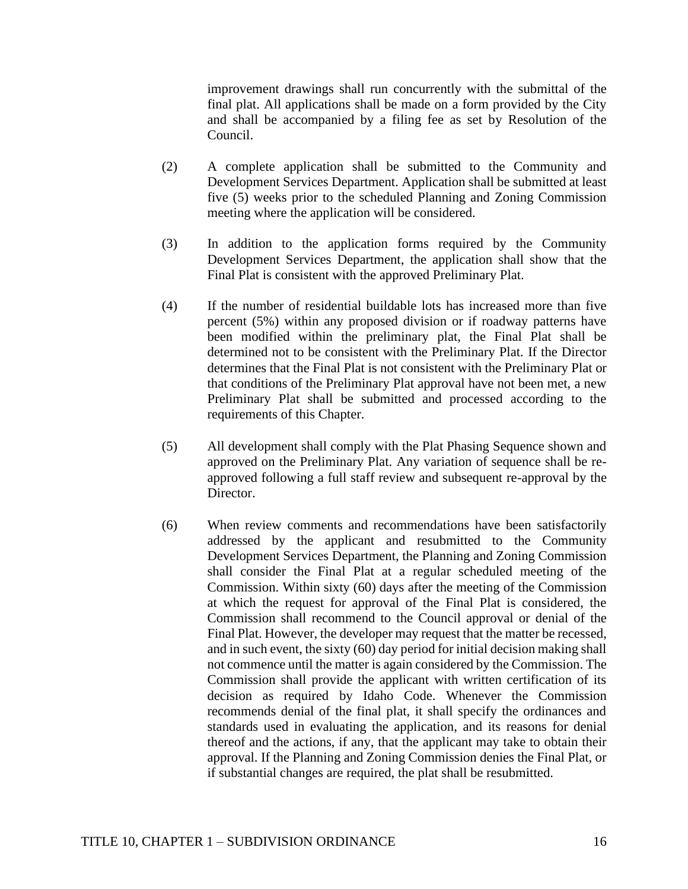improvement drawings shall run concurrently with the submittal of the final plat. All applications shall be made on a form provided by the City and shall be accompanied by a filing fee as set by Resolution of the Council.

- (2) A complete application shall be submitted to the Community and Development Services Department. Application shall be submitted at least five (5) weeks prior to the scheduled Planning and Zoning Commission meeting where the application will be considered.
- (3) In addition to the application forms required by the Community Development Services Department, the application shall show that the Final Plat is consistent with the approved Preliminary Plat.
- (4) If the number of residential buildable lots has increased more than five percent (5%) within any proposed division or if roadway patterns have been modified within the preliminary plat, the Final Plat shall be determined not to be consistent with the Preliminary Plat. If the Director determines that the Final Plat is not consistent with the Preliminary Plat or that conditions of the Preliminary Plat approval have not been met, a new Preliminary Plat shall be submitted and processed according to the requirements of this Chapter.
- (5) All development shall comply with the Plat Phasing Sequence shown and approved on the Preliminary Plat. Any variation of sequence shall be reapproved following a full staff review and subsequent re-approval by the Director.
- (6) When review comments and recommendations have been satisfactorily addressed by the applicant and resubmitted to the Community Development Services Department, the Planning and Zoning Commission shall consider the Final Plat at a regular scheduled meeting of the Commission. Within sixty (60) days after the meeting of the Commission at which the request for approval of the Final Plat is considered, the Commission shall recommend to the Council approval or denial of the Final Plat. However, the developer may request that the matter be recessed, and in such event, the sixty (60) day period for initial decision making shall not commence until the matter is again considered by the Commission. The Commission shall provide the applicant with written certification of its decision as required by Idaho Code. Whenever the Commission recommends denial of the final plat, it shall specify the ordinances and standards used in evaluating the application, and its reasons for denial thereof and the actions, if any, that the applicant may take to obtain their approval. If the Planning and Zoning Commission denies the Final Plat, or if substantial changes are required, the plat shall be resubmitted.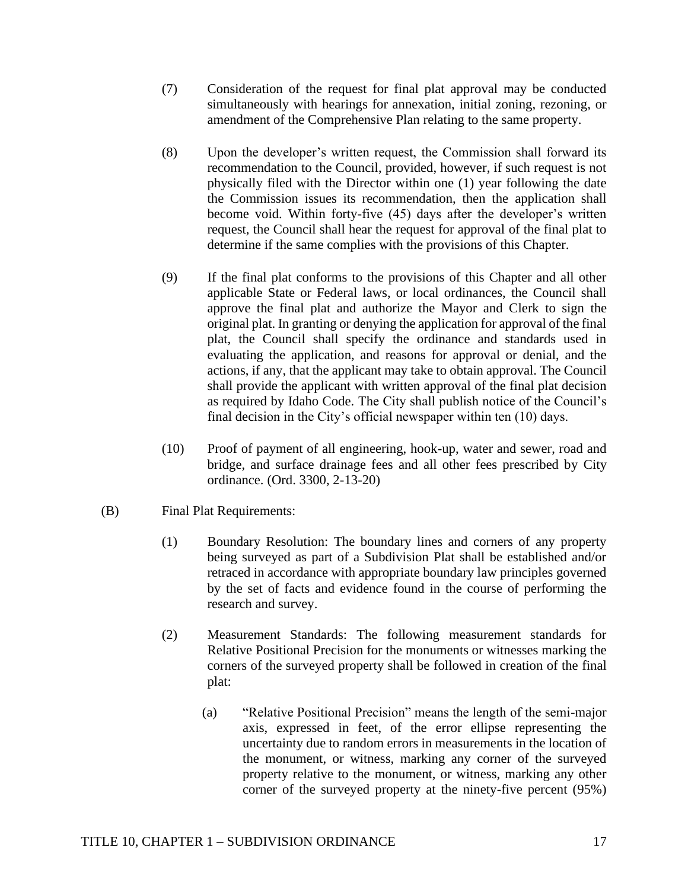- (7) Consideration of the request for final plat approval may be conducted simultaneously with hearings for annexation, initial zoning, rezoning, or amendment of the Comprehensive Plan relating to the same property.
- (8) Upon the developer's written request, the Commission shall forward its recommendation to the Council, provided, however, if such request is not physically filed with the Director within one (1) year following the date the Commission issues its recommendation, then the application shall become void. Within forty-five (45) days after the developer's written request, the Council shall hear the request for approval of the final plat to determine if the same complies with the provisions of this Chapter.
- (9) If the final plat conforms to the provisions of this Chapter and all other applicable State or Federal laws, or local ordinances, the Council shall approve the final plat and authorize the Mayor and Clerk to sign the original plat. In granting or denying the application for approval of the final plat, the Council shall specify the ordinance and standards used in evaluating the application, and reasons for approval or denial, and the actions, if any, that the applicant may take to obtain approval. The Council shall provide the applicant with written approval of the final plat decision as required by Idaho Code. The City shall publish notice of the Council's final decision in the City's official newspaper within ten (10) days.
- (10) Proof of payment of all engineering, hook-up, water and sewer, road and bridge, and surface drainage fees and all other fees prescribed by City ordinance. (Ord. 3300, 2-13-20)
- (B) Final Plat Requirements:
	- (1) Boundary Resolution: The boundary lines and corners of any property being surveyed as part of a Subdivision Plat shall be established and/or retraced in accordance with appropriate boundary law principles governed by the set of facts and evidence found in the course of performing the research and survey.
	- (2) Measurement Standards: The following measurement standards for Relative Positional Precision for the monuments or witnesses marking the corners of the surveyed property shall be followed in creation of the final plat:
		- (a) "Relative Positional Precision" means the length of the semi-major axis, expressed in feet, of the error ellipse representing the uncertainty due to random errors in measurements in the location of the monument, or witness, marking any corner of the surveyed property relative to the monument, or witness, marking any other corner of the surveyed property at the ninety-five percent (95%)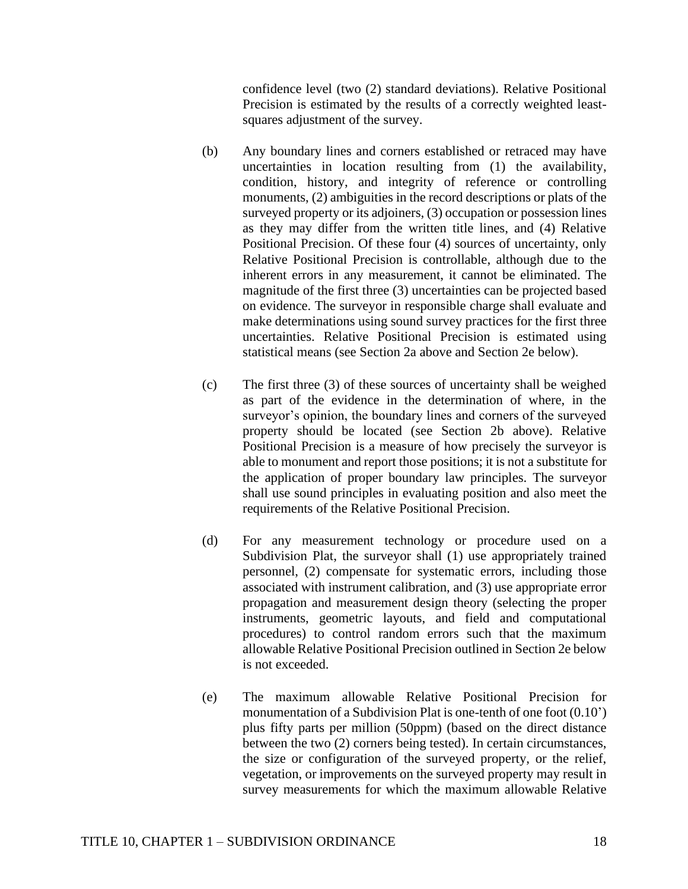confidence level (two (2) standard deviations). Relative Positional Precision is estimated by the results of a correctly weighted leastsquares adjustment of the survey.

- (b) Any boundary lines and corners established or retraced may have uncertainties in location resulting from (1) the availability, condition, history, and integrity of reference or controlling monuments, (2) ambiguities in the record descriptions or plats of the surveyed property or its adjoiners, (3) occupation or possession lines as they may differ from the written title lines, and (4) Relative Positional Precision. Of these four (4) sources of uncertainty, only Relative Positional Precision is controllable, although due to the inherent errors in any measurement, it cannot be eliminated. The magnitude of the first three (3) uncertainties can be projected based on evidence. The surveyor in responsible charge shall evaluate and make determinations using sound survey practices for the first three uncertainties. Relative Positional Precision is estimated using statistical means (see Section 2a above and Section 2e below).
- (c) The first three (3) of these sources of uncertainty shall be weighed as part of the evidence in the determination of where, in the surveyor's opinion, the boundary lines and corners of the surveyed property should be located (see Section 2b above). Relative Positional Precision is a measure of how precisely the surveyor is able to monument and report those positions; it is not a substitute for the application of proper boundary law principles. The surveyor shall use sound principles in evaluating position and also meet the requirements of the Relative Positional Precision.
- (d) For any measurement technology or procedure used on a Subdivision Plat, the surveyor shall (1) use appropriately trained personnel, (2) compensate for systematic errors, including those associated with instrument calibration, and (3) use appropriate error propagation and measurement design theory (selecting the proper instruments, geometric layouts, and field and computational procedures) to control random errors such that the maximum allowable Relative Positional Precision outlined in Section 2e below is not exceeded.
- (e) The maximum allowable Relative Positional Precision for monumentation of a Subdivision Plat is one-tenth of one foot (0.10') plus fifty parts per million (50ppm) (based on the direct distance between the two (2) corners being tested). In certain circumstances, the size or configuration of the surveyed property, or the relief, vegetation, or improvements on the surveyed property may result in survey measurements for which the maximum allowable Relative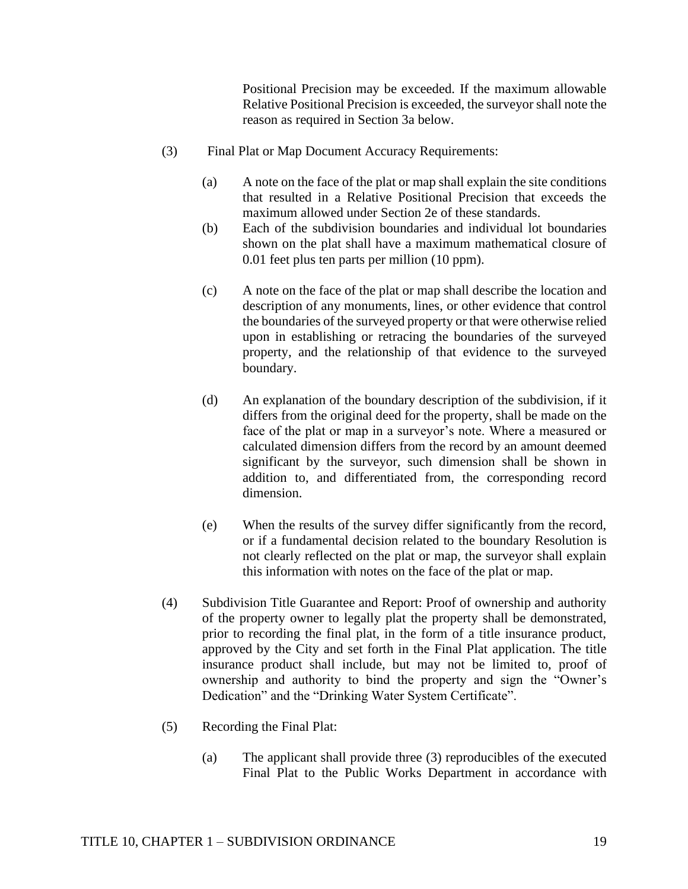Positional Precision may be exceeded. If the maximum allowable Relative Positional Precision is exceeded, the surveyor shall note the reason as required in Section 3a below.

- (3) Final Plat or Map Document Accuracy Requirements:
	- (a) A note on the face of the plat or map shall explain the site conditions that resulted in a Relative Positional Precision that exceeds the maximum allowed under Section 2e of these standards.
	- (b) Each of the subdivision boundaries and individual lot boundaries shown on the plat shall have a maximum mathematical closure of 0.01 feet plus ten parts per million (10 ppm).
	- (c) A note on the face of the plat or map shall describe the location and description of any monuments, lines, or other evidence that control the boundaries of the surveyed property or that were otherwise relied upon in establishing or retracing the boundaries of the surveyed property, and the relationship of that evidence to the surveyed boundary.
	- (d) An explanation of the boundary description of the subdivision, if it differs from the original deed for the property, shall be made on the face of the plat or map in a surveyor's note. Where a measured or calculated dimension differs from the record by an amount deemed significant by the surveyor, such dimension shall be shown in addition to, and differentiated from, the corresponding record dimension.
	- (e) When the results of the survey differ significantly from the record, or if a fundamental decision related to the boundary Resolution is not clearly reflected on the plat or map, the surveyor shall explain this information with notes on the face of the plat or map.
- (4) Subdivision Title Guarantee and Report: Proof of ownership and authority of the property owner to legally plat the property shall be demonstrated, prior to recording the final plat, in the form of a title insurance product, approved by the City and set forth in the Final Plat application. The title insurance product shall include, but may not be limited to, proof of ownership and authority to bind the property and sign the "Owner's Dedication" and the "Drinking Water System Certificate".
- (5) Recording the Final Plat:
	- (a) The applicant shall provide three (3) reproducibles of the executed Final Plat to the Public Works Department in accordance with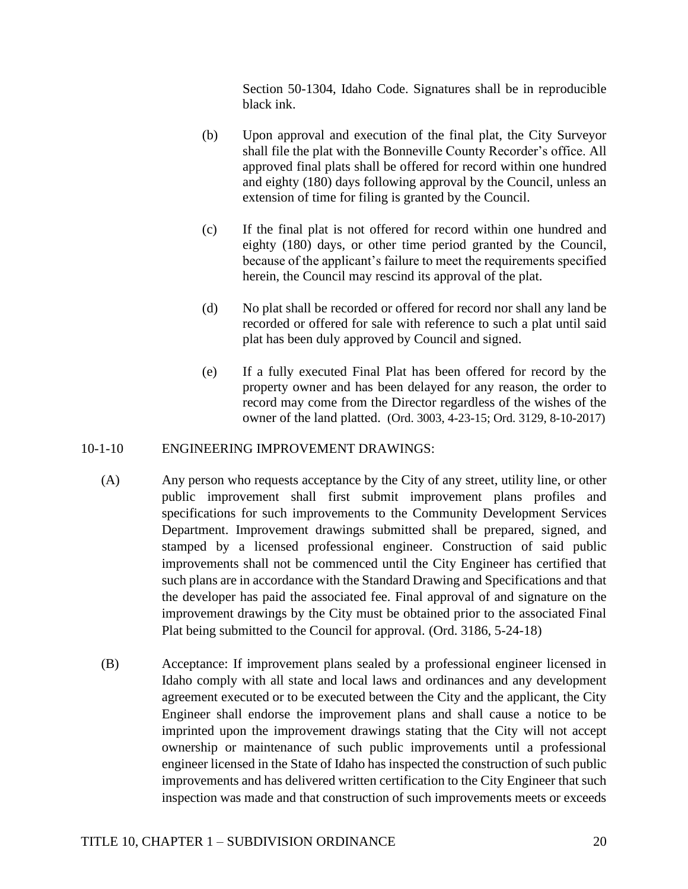Section 50-1304, Idaho Code. Signatures shall be in reproducible black ink.

- (b) Upon approval and execution of the final plat, the City Surveyor shall file the plat with the Bonneville County Recorder's office. All approved final plats shall be offered for record within one hundred and eighty (180) days following approval by the Council, unless an extension of time for filing is granted by the Council.
- (c) If the final plat is not offered for record within one hundred and eighty (180) days, or other time period granted by the Council, because of the applicant's failure to meet the requirements specified herein, the Council may rescind its approval of the plat.
- (d) No plat shall be recorded or offered for record nor shall any land be recorded or offered for sale with reference to such a plat until said plat has been duly approved by Council and signed.
- (e) If a fully executed Final Plat has been offered for record by the property owner and has been delayed for any reason, the order to record may come from the Director regardless of the wishes of the owner of the land platted. (Ord. 3003, 4-23-15; Ord. 3129, 8-10-2017)

#### 10-1-10 ENGINEERING IMPROVEMENT DRAWINGS:

- (A) Any person who requests acceptance by the City of any street, utility line, or other public improvement shall first submit improvement plans profiles and specifications for such improvements to the Community Development Services Department. Improvement drawings submitted shall be prepared, signed, and stamped by a licensed professional engineer. Construction of said public improvements shall not be commenced until the City Engineer has certified that such plans are in accordance with the Standard Drawing and Specifications and that the developer has paid the associated fee. Final approval of and signature on the improvement drawings by the City must be obtained prior to the associated Final Plat being submitted to the Council for approval. (Ord. 3186, 5-24-18)
- (B) Acceptance: If improvement plans sealed by a professional engineer licensed in Idaho comply with all state and local laws and ordinances and any development agreement executed or to be executed between the City and the applicant, the City Engineer shall endorse the improvement plans and shall cause a notice to be imprinted upon the improvement drawings stating that the City will not accept ownership or maintenance of such public improvements until a professional engineer licensed in the State of Idaho has inspected the construction of such public improvements and has delivered written certification to the City Engineer that such inspection was made and that construction of such improvements meets or exceeds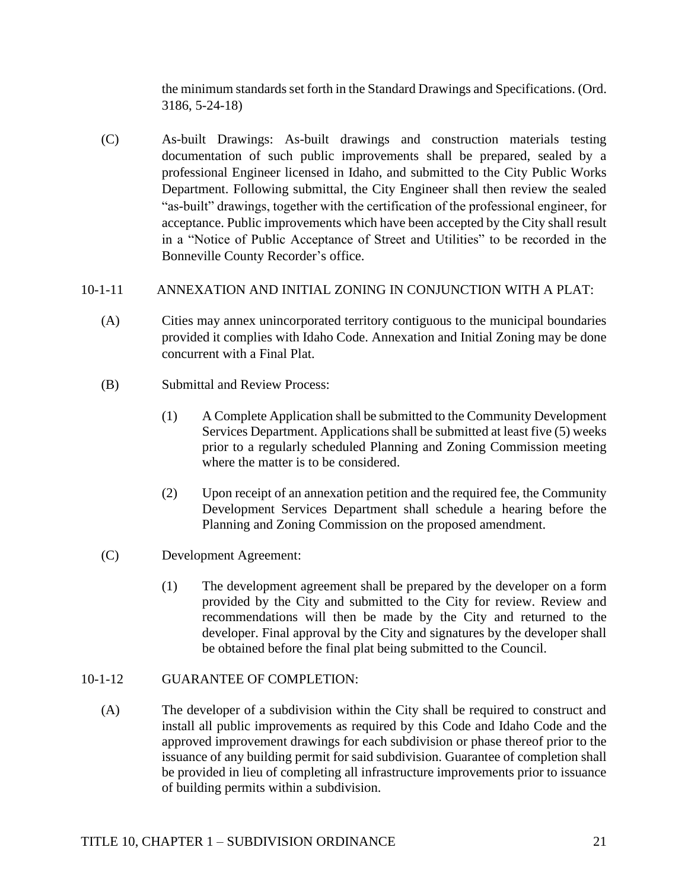the minimum standards set forth in the Standard Drawings and Specifications. (Ord. 3186, 5-24-18)

(C) As-built Drawings: As-built drawings and construction materials testing documentation of such public improvements shall be prepared, sealed by a professional Engineer licensed in Idaho, and submitted to the City Public Works Department. Following submittal, the City Engineer shall then review the sealed "as-built" drawings, together with the certification of the professional engineer, for acceptance. Public improvements which have been accepted by the City shall result in a "Notice of Public Acceptance of Street and Utilities" to be recorded in the Bonneville County Recorder's office.

# 10-1-11 ANNEXATION AND INITIAL ZONING IN CONJUNCTION WITH A PLAT:

- (A) Cities may annex unincorporated territory contiguous to the municipal boundaries provided it complies with Idaho Code. Annexation and Initial Zoning may be done concurrent with a Final Plat.
- (B) Submittal and Review Process:
	- (1) A Complete Application shall be submitted to the Community Development Services Department. Applications shall be submitted at least five (5) weeks prior to a regularly scheduled Planning and Zoning Commission meeting where the matter is to be considered.
	- (2) Upon receipt of an annexation petition and the required fee, the Community Development Services Department shall schedule a hearing before the Planning and Zoning Commission on the proposed amendment.
- (C) Development Agreement:
	- (1) The development agreement shall be prepared by the developer on a form provided by the City and submitted to the City for review. Review and recommendations will then be made by the City and returned to the developer. Final approval by the City and signatures by the developer shall be obtained before the final plat being submitted to the Council.

## 10-1-12 GUARANTEE OF COMPLETION:

(A) The developer of a subdivision within the City shall be required to construct and install all public improvements as required by this Code and Idaho Code and the approved improvement drawings for each subdivision or phase thereof prior to the issuance of any building permit for said subdivision. Guarantee of completion shall be provided in lieu of completing all infrastructure improvements prior to issuance of building permits within a subdivision.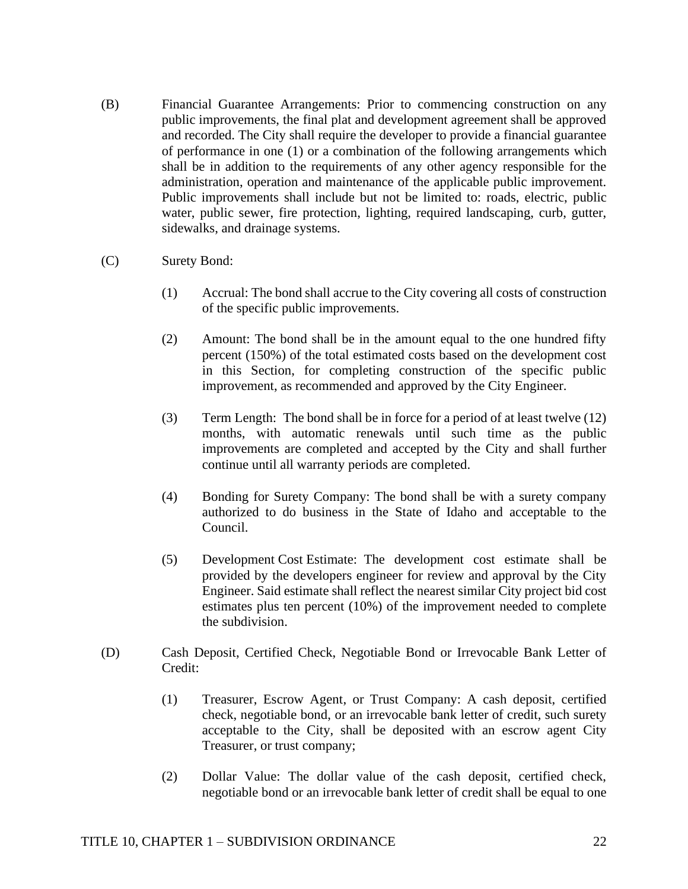- (B) Financial Guarantee Arrangements: Prior to commencing construction on any public improvements, the final plat and development agreement shall be approved and recorded. The City shall require the developer to provide a financial guarantee of performance in one (1) or a combination of the following arrangements which shall be in addition to the requirements of any other agency responsible for the administration, operation and maintenance of the applicable public improvement. Public improvements shall include but not be limited to: roads, electric, public water, public sewer, fire protection, lighting, required landscaping, curb, gutter, sidewalks, and drainage systems.
- (C) Surety Bond:
	- (1) Accrual: The bond shall accrue to the City covering all costs of construction of the specific public improvements.
	- (2) Amount: The bond shall be in the amount equal to the one hundred fifty percent (150%) of the total estimated costs based on the development cost in this Section, for completing construction of the specific public improvement, as recommended and approved by the City Engineer.
	- (3) Term Length: The bond shall be in force for a period of at least twelve (12) months, with automatic renewals until such time as the public improvements are completed and accepted by the City and shall further continue until all warranty periods are completed.
	- (4) Bonding for Surety Company: The bond shall be with a surety company authorized to do business in the State of Idaho and acceptable to the Council.
	- (5) Development Cost Estimate: The development cost estimate shall be provided by the developers engineer for review and approval by the City Engineer. Said estimate shall reflect the nearest similar City project bid cost estimates plus ten percent (10%) of the improvement needed to complete the subdivision.
- (D) Cash Deposit, Certified Check, Negotiable Bond or Irrevocable Bank Letter of Credit:
	- (1) Treasurer, Escrow Agent, or Trust Company: A cash deposit, certified check, negotiable bond, or an irrevocable bank letter of credit, such surety acceptable to the City, shall be deposited with an escrow agent City Treasurer, or trust company;
	- (2) Dollar Value: The dollar value of the cash deposit, certified check, negotiable bond or an irrevocable bank letter of credit shall be equal to one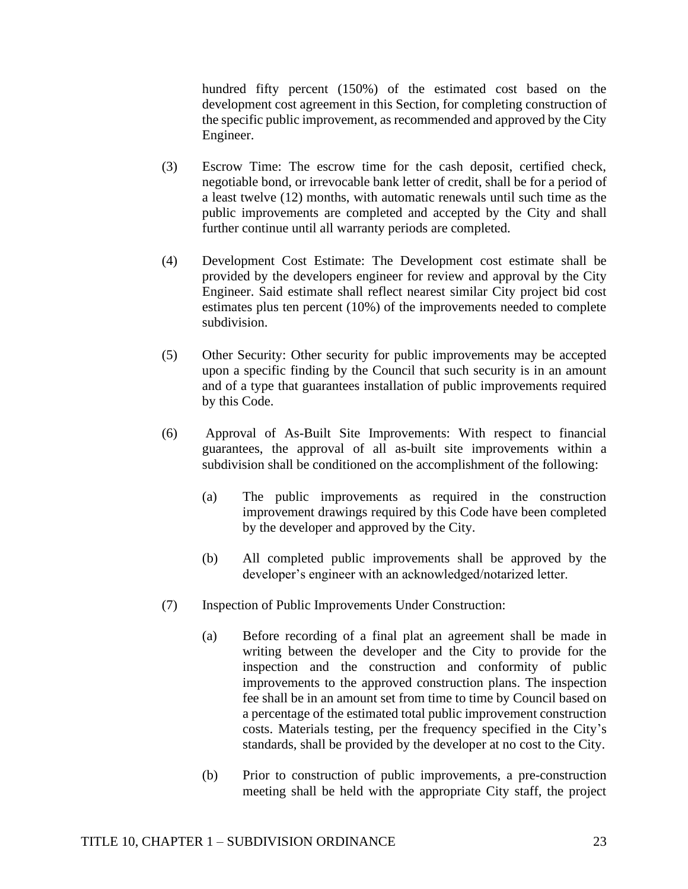hundred fifty percent (150%) of the estimated cost based on the development cost agreement in this Section, for completing construction of the specific public improvement, as recommended and approved by the City Engineer.

- (3) Escrow Time: The escrow time for the cash deposit, certified check, negotiable bond, or irrevocable bank letter of credit, shall be for a period of a least twelve (12) months, with automatic renewals until such time as the public improvements are completed and accepted by the City and shall further continue until all warranty periods are completed.
- (4) Development Cost Estimate: The Development cost estimate shall be provided by the developers engineer for review and approval by the City Engineer. Said estimate shall reflect nearest similar City project bid cost estimates plus ten percent (10%) of the improvements needed to complete subdivision.
- (5) Other Security: Other security for public improvements may be accepted upon a specific finding by the Council that such security is in an amount and of a type that guarantees installation of public improvements required by this Code.
- (6) Approval of As-Built Site Improvements: With respect to financial guarantees, the approval of all as-built site improvements within a subdivision shall be conditioned on the accomplishment of the following:
	- (a) The public improvements as required in the construction improvement drawings required by this Code have been completed by the developer and approved by the City.
	- (b) All completed public improvements shall be approved by the developer's engineer with an acknowledged/notarized letter.
- (7) Inspection of Public Improvements Under Construction:
	- (a) Before recording of a final plat an agreement shall be made in writing between the developer and the City to provide for the inspection and the construction and conformity of public improvements to the approved construction plans. The inspection fee shall be in an amount set from time to time by Council based on a percentage of the estimated total public improvement construction costs. Materials testing, per the frequency specified in the City's standards, shall be provided by the developer at no cost to the City.
	- (b) Prior to construction of public improvements, a pre-construction meeting shall be held with the appropriate City staff, the project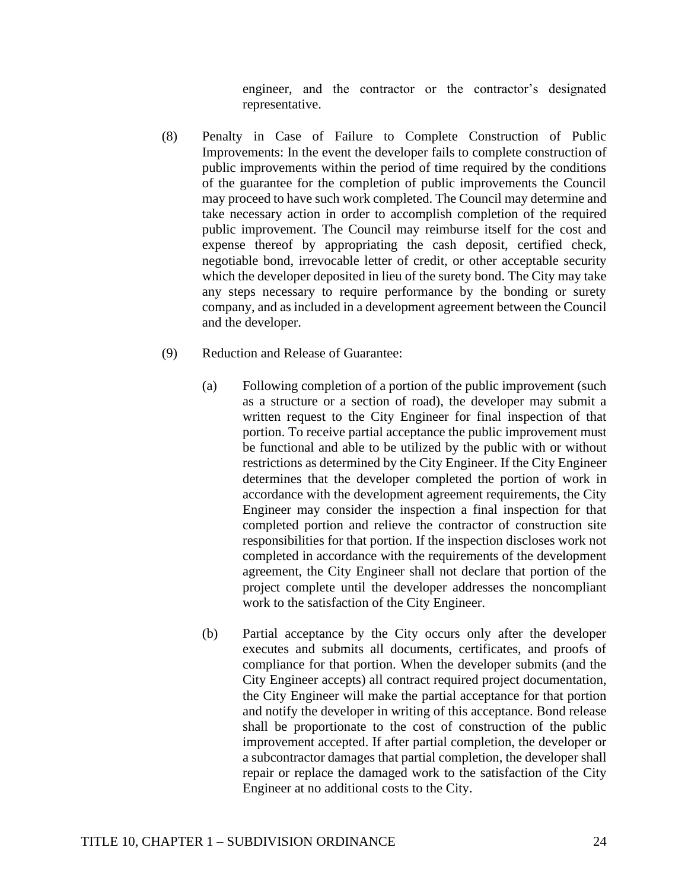engineer, and the contractor or the contractor's designated representative.

- (8) Penalty in Case of Failure to Complete Construction of Public Improvements: In the event the developer fails to complete construction of public improvements within the period of time required by the conditions of the guarantee for the completion of public improvements the Council may proceed to have such work completed. The Council may determine and take necessary action in order to accomplish completion of the required public improvement. The Council may reimburse itself for the cost and expense thereof by appropriating the cash deposit, certified check, negotiable bond, irrevocable letter of credit, or other acceptable security which the developer deposited in lieu of the surety bond. The City may take any steps necessary to require performance by the bonding or surety company, and as included in a development agreement between the Council and the developer.
- (9) Reduction and Release of Guarantee:
	- (a) Following completion of a portion of the public improvement (such as a structure or a section of road), the developer may submit a written request to the City Engineer for final inspection of that portion. To receive partial acceptance the public improvement must be functional and able to be utilized by the public with or without restrictions as determined by the City Engineer. If the City Engineer determines that the developer completed the portion of work in accordance with the development agreement requirements, the City Engineer may consider the inspection a final inspection for that completed portion and relieve the contractor of construction site responsibilities for that portion. If the inspection discloses work not completed in accordance with the requirements of the development agreement, the City Engineer shall not declare that portion of the project complete until the developer addresses the noncompliant work to the satisfaction of the City Engineer.
	- (b) Partial acceptance by the City occurs only after the developer executes and submits all documents, certificates, and proofs of compliance for that portion. When the developer submits (and the City Engineer accepts) all contract required project documentation, the City Engineer will make the partial acceptance for that portion and notify the developer in writing of this acceptance. Bond release shall be proportionate to the cost of construction of the public improvement accepted. If after partial completion, the developer or a subcontractor damages that partial completion, the developer shall repair or replace the damaged work to the satisfaction of the City Engineer at no additional costs to the City.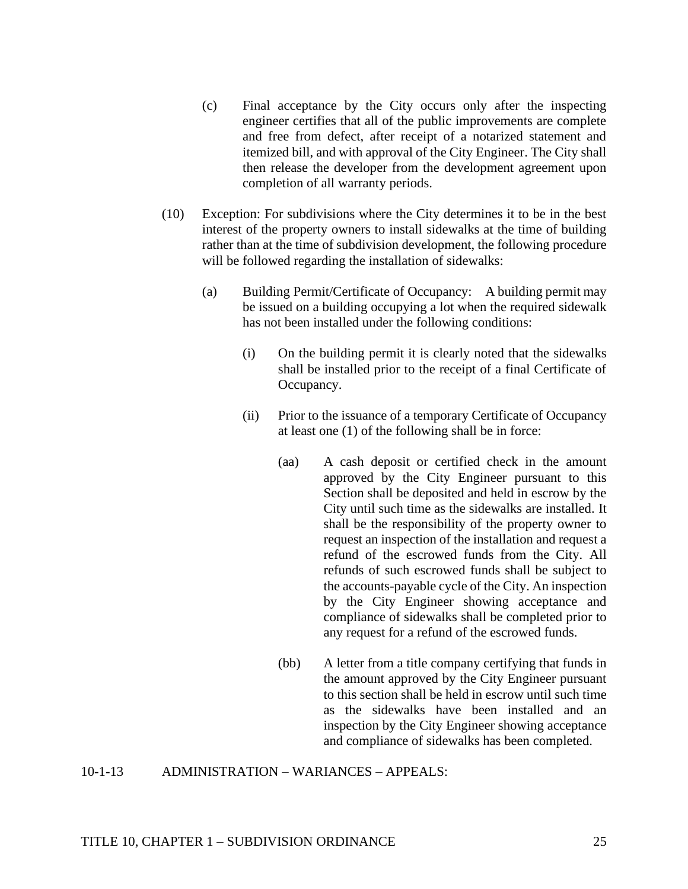- (c) Final acceptance by the City occurs only after the inspecting engineer certifies that all of the public improvements are complete and free from defect, after receipt of a notarized statement and itemized bill, and with approval of the City Engineer. The City shall then release the developer from the development agreement upon completion of all warranty periods.
- (10) Exception: For subdivisions where the City determines it to be in the best interest of the property owners to install sidewalks at the time of building rather than at the time of subdivision development, the following procedure will be followed regarding the installation of sidewalks:
	- (a) Building Permit/Certificate of Occupancy: A building permit may be issued on a building occupying a lot when the required sidewalk has not been installed under the following conditions:
		- (i) On the building permit it is clearly noted that the sidewalks shall be installed prior to the receipt of a final Certificate of Occupancy.
		- (ii) Prior to the issuance of a temporary Certificate of Occupancy at least one (1) of the following shall be in force:
			- (aa) A cash deposit or certified check in the amount approved by the City Engineer pursuant to this Section shall be deposited and held in escrow by the City until such time as the sidewalks are installed. It shall be the responsibility of the property owner to request an inspection of the installation and request a refund of the escrowed funds from the City. All refunds of such escrowed funds shall be subject to the accounts-payable cycle of the City. An inspection by the City Engineer showing acceptance and compliance of sidewalks shall be completed prior to any request for a refund of the escrowed funds.
			- (bb) A letter from a title company certifying that funds in the amount approved by the City Engineer pursuant to this section shall be held in escrow until such time as the sidewalks have been installed and an inspection by the City Engineer showing acceptance and compliance of sidewalks has been completed.

10-1-13 ADMINISTRATION – WARIANCES – APPEALS: